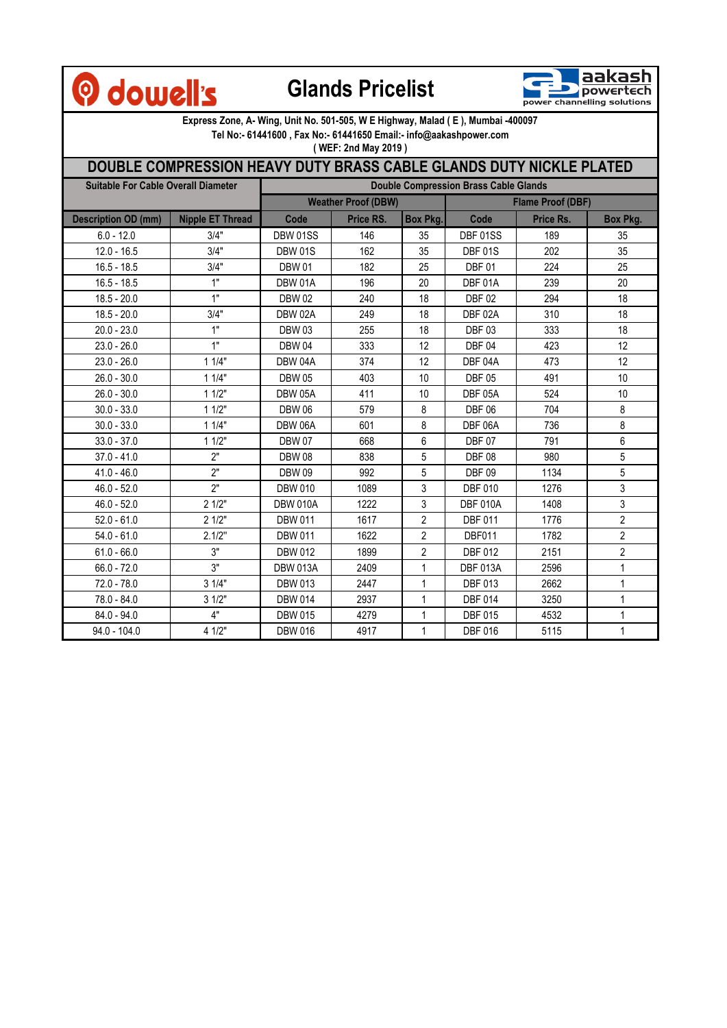## **O** dowell's

## **Glands Pricelist**



**Express Zone, A- Wing, Unit No. 501-505, W E Highway, Malad ( E ), Mumbai -400097** 

**Tel No:- 61441600 , Fax No:- 61441650 Email:- info@aakashpower.com** 

**( WEF: 2nd May 2019 )**

## **DOUBLE COMPRESSION HEAVY DUTY BRASS CABLE GLANDS DUTY NICKLE PLATED**

| <b>Suitable For Cable Overall Diameter</b> |                         | <b>Double Compression Brass Cable Glands</b> |           |                |                          |           |                 |
|--------------------------------------------|-------------------------|----------------------------------------------|-----------|----------------|--------------------------|-----------|-----------------|
|                                            |                         | <b>Weather Proof (DBW)</b>                   |           |                | <b>Flame Proof (DBF)</b> |           |                 |
| <b>Description OD (mm)</b>                 | <b>Nipple ET Thread</b> | Code                                         | Price RS. | Box Pkg.       | Code                     | Price Rs. | <b>Box Pkg.</b> |
| $6.0 - 12.0$                               | 3/4"                    | DBW 01SS                                     | 146       | 35             | DBF 01SS                 | 189       | 35              |
| $12.0 - 16.5$                              | 3/4"                    | <b>DBW 01S</b>                               | 162       | 35             | <b>DBF 01S</b>           | 202       | 35              |
| $16.5 - 18.5$                              | 3/4"                    | <b>DBW 01</b>                                | 182       | 25             | <b>DBF01</b>             | 224       | 25              |
| $16.5 - 18.5$                              | 1"                      | DBW 01A                                      | 196       | 20             | DBF 01A                  | 239       | 20              |
| $18.5 - 20.0$                              | 1"                      | <b>DBW 02</b>                                | 240       | 18             | <b>DBF 02</b>            | 294       | 18              |
| $18.5 - 20.0$                              | 3/4"                    | DBW 02A                                      | 249       | 18             | DBF 02A                  | 310       | 18              |
| $20.0 - 23.0$                              | 1"                      | <b>DBW03</b>                                 | 255       | 18             | <b>DBF03</b>             | 333       | 18              |
| $23.0 - 26.0$                              | 1"                      | <b>DBW 04</b>                                | 333       | 12             | <b>DBF 04</b>            | 423       | 12              |
| $23.0 - 26.0$                              | 11/4"                   | DBW 04A                                      | 374       | 12             | DBF 04A                  | 473       | 12              |
| $26.0 - 30.0$                              | 11/4"                   | <b>DBW 05</b>                                | 403       | 10             | <b>DBF 05</b>            | 491       | 10              |
| $26.0 - 30.0$                              | 11/2"                   | <b>DBW 05A</b>                               | 411       | 10             | DBF 05A                  | 524       | 10              |
| $30.0 - 33.0$                              | 11/2"                   | <b>DBW 06</b>                                | 579       | 8              | <b>DBF 06</b>            | 704       | 8               |
| $30.0 - 33.0$                              | 11/4"                   | DBW 06A                                      | 601       | 8              | DBF 06A                  | 736       | $\bf 8$         |
| $33.0 - 37.0$                              | 11/2"                   | <b>DBW 07</b>                                | 668       | 6              | <b>DBF 07</b>            | 791       | 6               |
| $37.0 - 41.0$                              | 2"                      | <b>DBW08</b>                                 | 838       | 5              | <b>DBF 08</b>            | 980       | 5               |
| $41.0 - 46.0$                              | 2"                      | <b>DBW 09</b>                                | 992       | 5              | <b>DBF 09</b>            | 1134      | 5               |
| $46.0 - 52.0$                              | 2"                      | <b>DBW 010</b>                               | 1089      | 3              | <b>DBF 010</b>           | 1276      | 3               |
| $46.0 - 52.0$                              | 21/2"                   | <b>DBW 010A</b>                              | 1222      | 3              | <b>DBF 010A</b>          | 1408      | $\mathfrak{S}$  |
| $52.0 - 61.0$                              | 21/2"                   | <b>DBW 011</b>                               | 1617      | $\overline{2}$ | <b>DBF 011</b>           | 1776      | $\overline{2}$  |
| $54.0 - 61.0$                              | 2.1/2"                  | <b>DBW 011</b>                               | 1622      | $\overline{2}$ | DBF011                   | 1782      | $\overline{2}$  |
| $61.0 - 66.0$                              | 3"                      | <b>DBW 012</b>                               | 1899      | $\overline{2}$ | <b>DBF 012</b>           | 2151      | $\overline{2}$  |
| $66.0 - 72.0$                              | 3"                      | <b>DBW 013A</b>                              | 2409      | $\mathbf{1}$   | <b>DBF 013A</b>          | 2596      | 1               |
| $72.0 - 78.0$                              | 31/4"                   | <b>DBW 013</b>                               | 2447      | $\mathbf{1}$   | <b>DBF 013</b>           | 2662      | 1               |
| 78.0 - 84.0                                | 31/2"                   | <b>DBW 014</b>                               | 2937      | 1              | <b>DBF 014</b>           | 3250      | 1               |
| $84.0 - 94.0$                              | 4"                      | <b>DBW 015</b>                               | 4279      | 1              | <b>DBF 015</b>           | 4532      | 1               |
| $94.0 - 104.0$                             | 4 1/2"                  | <b>DBW 016</b>                               | 4917      | $\mathbf{1}$   | <b>DBF 016</b>           | 5115      | 1               |